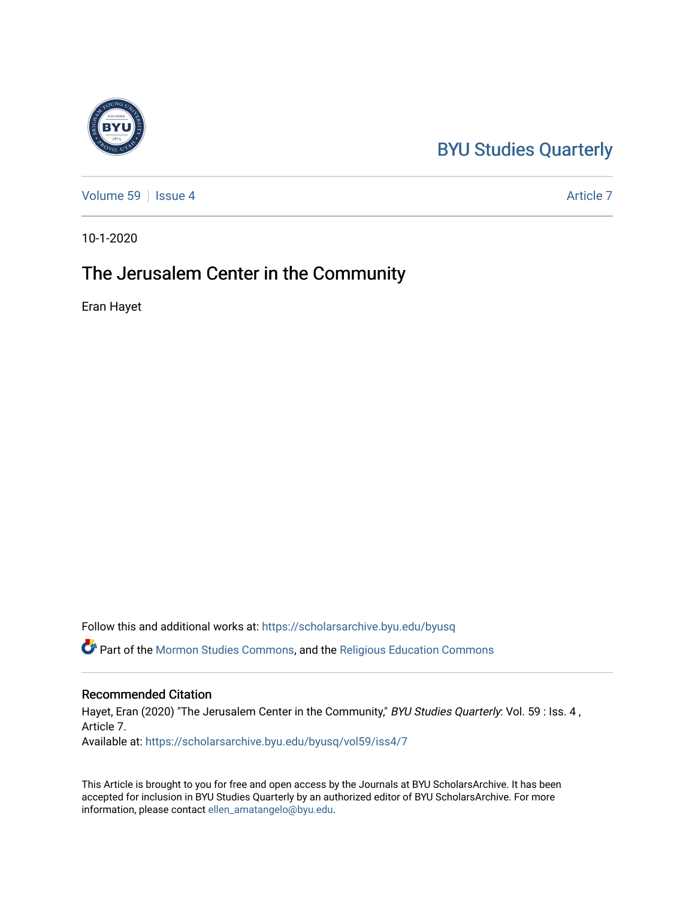# [BYU Studies Quarterly](https://scholarsarchive.byu.edu/byusq)

[Volume 59](https://scholarsarchive.byu.edu/byusq/vol59) | [Issue 4](https://scholarsarchive.byu.edu/byusq/vol59/iss4) Article 7

10-1-2020

## The Jerusalem Center in the Community

Eran Hayet

Follow this and additional works at: [https://scholarsarchive.byu.edu/byusq](https://scholarsarchive.byu.edu/byusq?utm_source=scholarsarchive.byu.edu%2Fbyusq%2Fvol59%2Fiss4%2F7&utm_medium=PDF&utm_campaign=PDFCoverPages) 

Part of the [Mormon Studies Commons](http://network.bepress.com/hgg/discipline/1360?utm_source=scholarsarchive.byu.edu%2Fbyusq%2Fvol59%2Fiss4%2F7&utm_medium=PDF&utm_campaign=PDFCoverPages), and the [Religious Education Commons](http://network.bepress.com/hgg/discipline/1414?utm_source=scholarsarchive.byu.edu%2Fbyusq%2Fvol59%2Fiss4%2F7&utm_medium=PDF&utm_campaign=PDFCoverPages) 

#### Recommended Citation

Hayet, Eran (2020) "The Jerusalem Center in the Community," BYU Studies Quarterly: Vol. 59 : Iss. 4, Article 7. Available at: [https://scholarsarchive.byu.edu/byusq/vol59/iss4/7](https://scholarsarchive.byu.edu/byusq/vol59/iss4/7?utm_source=scholarsarchive.byu.edu%2Fbyusq%2Fvol59%2Fiss4%2F7&utm_medium=PDF&utm_campaign=PDFCoverPages)

This Article is brought to you for free and open access by the Journals at BYU ScholarsArchive. It has been accepted for inclusion in BYU Studies Quarterly by an authorized editor of BYU ScholarsArchive. For more information, please contact [ellen\\_amatangelo@byu.edu.](mailto:ellen_amatangelo@byu.edu)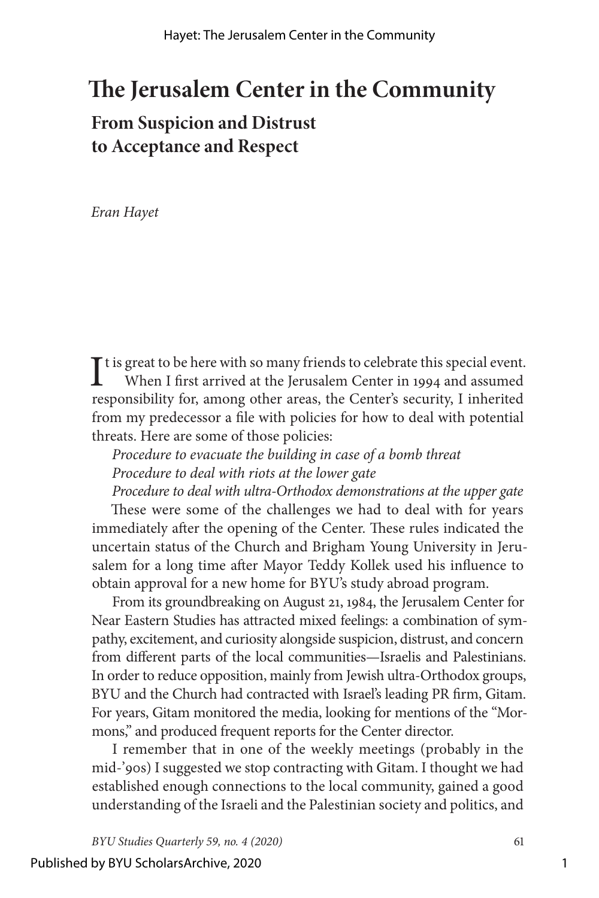## **The Jerusalem Center in the Community**

### **From Suspicion and Distrust to Acceptance and Respect**

*Eran Hayet*

It is great to be here with so many friends to celebrate this special event.<br>When I first arrived at the Jerusalem Center in 1994 and assumed When I first arrived at the Jerusalem Center in 1994 and assumed responsibility for, among other areas, the Center's security, I inherited from my predecessor a file with policies for how to deal with potential threats. Here are some of those policies:

*Procedure to evacuate the building in case of a bomb threat Procedure to deal with riots at the lower gate*

*Procedure to deal with ultra-Orthodox demonstrations at the upper gate* These were some of the challenges we had to deal with for years immediately after the opening of the Center. These rules indicated the uncertain status of the Church and Brigham Young University in Jerusalem for a long time after Mayor Teddy Kollek used his influence to obtain approval for a new home for BYU's study abroad program.

From its groundbreaking on August 21, 1984, the Jerusalem Center for Near Eastern Studies has attracted mixed feelings: a combination of sympathy, excitement, and curiosity alongside suspicion, distrust, and concern from different parts of the local communities—Israelis and Palestinians. In order to reduce opposition, mainly from Jewish ultra-Orthodox groups, BYU and the Church had contracted with Israel's leading PR firm, Gitam. For years, Gitam monitored the media, looking for mentions of the "Mormons," and produced frequent reports for the Center director.

I remember that in one of the weekly meetings (probably in the mid-'90s) I suggested we stop contracting with Gitam. I thought we had established enough connections to the local community, gained a good understanding of the Israeli and the Palestinian society and politics, and

*BYU Studies Quarterly 59, no. 4 (2020)* 61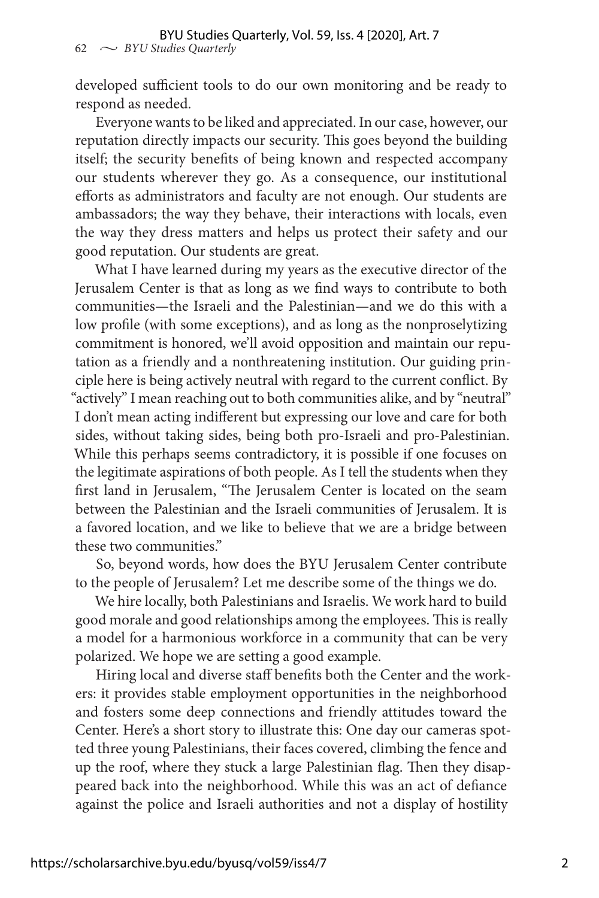developed sufficient tools to do our own monitoring and be ready to respond as needed.

Everyone wants to be liked and appreciated. In our case, however, our reputation directly impacts our security. This goes beyond the building itself; the security benefits of being known and respected accompany our students wherever they go. As a consequence, our institutional efforts as administrators and faculty are not enough. Our students are ambassadors; the way they behave, their interactions with locals, even the way they dress matters and helps us protect their safety and our good reputation. Our students are great.

What I have learned during my years as the executive director of the Jerusalem Center is that as long as we find ways to contribute to both communities—the Israeli and the Palestinian—and we do this with a low profile (with some exceptions), and as long as the nonproselytizing commitment is honored, we'll avoid opposition and maintain our reputation as a friendly and a nonthreatening institution. Our guiding principle here is being actively neutral with regard to the current conflict. By "actively" I mean reaching out to both communities alike, and by "neutral" I don't mean acting indifferent but expressing our love and care for both sides, without taking sides, being both pro-Israeli and pro-Palestinian. While this perhaps seems contradictory, it is possible if one focuses on the legitimate aspirations of both people. As I tell the students when they first land in Jerusalem, "The Jerusalem Center is located on the seam between the Palestinian and the Israeli communities of Jerusalem. It is a favored location, and we like to believe that we are a bridge between these two communities."

So, beyond words, how does the BYU Jerusalem Center contribute to the people of Jerusalem? Let me describe some of the things we do.

We hire locally, both Palestinians and Israelis. We work hard to build good morale and good relationships among the employees. This is really a model for a harmonious workforce in a community that can be very polarized. We hope we are setting a good example.

Hiring local and diverse staff benefits both the Center and the workers: it provides stable employment opportunities in the neighborhood and fosters some deep connections and friendly attitudes toward the Center. Here's a short story to illustrate this: One day our cameras spotted three young Palestinians, their faces covered, climbing the fence and up the roof, where they stuck a large Palestinian flag. Then they disappeared back into the neighborhood. While this was an act of defiance against the police and Israeli authorities and not a display of hostility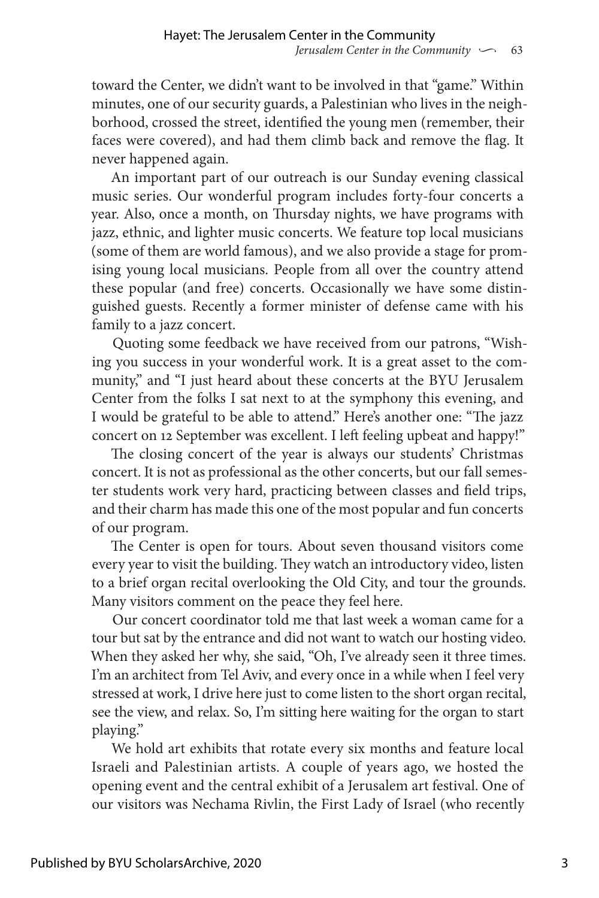toward the Center, we didn't want to be involved in that "game." Within minutes, one of our security guards, a Palestinian who lives in the neighborhood, crossed the street, identified the young men (remember, their faces were covered), and had them climb back and remove the flag. It never happened again.

An important part of our outreach is our Sunday evening classical music series. Our wonderful program includes forty-four concerts a year. Also, once a month, on Thursday nights, we have programs with jazz, ethnic, and lighter music concerts. We feature top local musicians (some of them are world famous), and we also provide a stage for promising young local musicians. People from all over the country attend these popular (and free) concerts. Occasionally we have some distinguished guests. Recently a former minister of defense came with his family to a jazz concert.

Quoting some feedback we have received from our patrons, "Wishing you success in your wonderful work. It is a great asset to the community," and "I just heard about these concerts at the BYU Jerusalem Center from the folks I sat next to at the symphony this evening, and I would be grateful to be able to attend." Here's another one: "The jazz concert on 12 September was excellent. I left feeling upbeat and happy!"

The closing concert of the year is always our students' Christmas concert. It is not as professional as the other concerts, but our fall semester students work very hard, practicing between classes and field trips, and their charm has made this one of the most popular and fun concerts of our program.

The Center is open for tours. About seven thousand visitors come every year to visit the building. They watch an introductory video, listen to a brief organ recital overlooking the Old City, and tour the grounds. Many visitors comment on the peace they feel here.

Our concert coordinator told me that last week a woman came for a tour but sat by the entrance and did not want to watch our hosting video. When they asked her why, she said, "Oh, I've already seen it three times. I'm an architect from Tel Aviv, and every once in a while when I feel very stressed at work, I drive here just to come listen to the short organ recital, see the view, and relax. So, I'm sitting here waiting for the organ to start playing."

We hold art exhibits that rotate every six months and feature local Israeli and Palestinian artists. A couple of years ago, we hosted the opening event and the central exhibit of a Jerusalem art festival. One of our visitors was Nechama Rivlin, the First Lady of Israel (who recently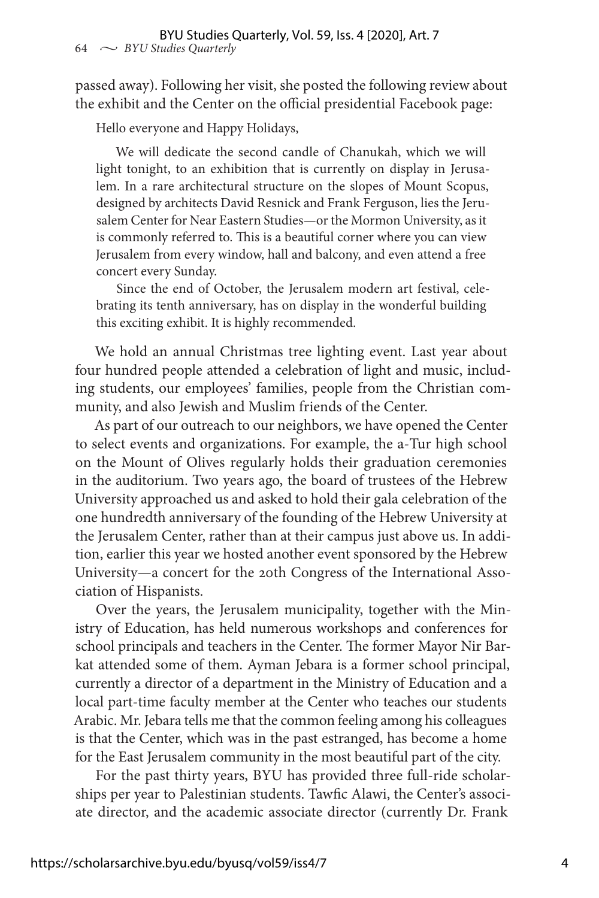passed away). Following her visit, she posted the following review about the exhibit and the Center on the official presidential Facebook page:

Hello everyone and Happy Holidays,

We will dedicate the second candle of Chanukah, which we will light tonight, to an exhibition that is currently on display in Jerusalem. In a rare architectural structure on the slopes of Mount Scopus, designed by architects David Resnick and Frank Ferguson, lies the Jerusalem Center for Near Eastern Studies—or the Mormon University, as it is commonly referred to. This is a beautiful corner where you can view Jerusalem from every window, hall and balcony, and even attend a free concert every Sunday.

Since the end of October, the Jerusalem modern art festival, celebrating its tenth anniversary, has on display in the wonderful building this exciting exhibit. It is highly recommended.

We hold an annual Christmas tree lighting event. Last year about four hundred people attended a celebration of light and music, including students, our employees' families, people from the Christian community, and also Jewish and Muslim friends of the Center.

As part of our outreach to our neighbors, we have opened the Center to select events and organizations. For example, the a-Tur high school on the Mount of Olives regularly holds their graduation ceremonies in the auditorium. Two years ago, the board of trustees of the Hebrew University approached us and asked to hold their gala celebration of the one hundredth anniversary of the founding of the Hebrew University at the Jerusalem Center, rather than at their campus just above us. In addition, earlier this year we hosted another event sponsored by the Hebrew University—a concert for the 20th Congress of the International Association of Hispanists.

Over the years, the Jerusalem municipality, together with the Ministry of Education, has held numerous workshops and conferences for school principals and teachers in the Center. The former Mayor Nir Barkat attended some of them. Ayman Jebara is a former school principal, currently a director of a department in the Ministry of Education and a local part-time faculty member at the Center who teaches our students Arabic. Mr. Jebara tells me that the common feeling among his colleagues is that the Center, which was in the past estranged, has become a home for the East Jerusalem community in the most beautiful part of the city.

For the past thirty years, BYU has provided three full-ride scholarships per year to Palestinian students. Tawfic Alawi, the Center's associate director, and the academic associate director (currently Dr. Frank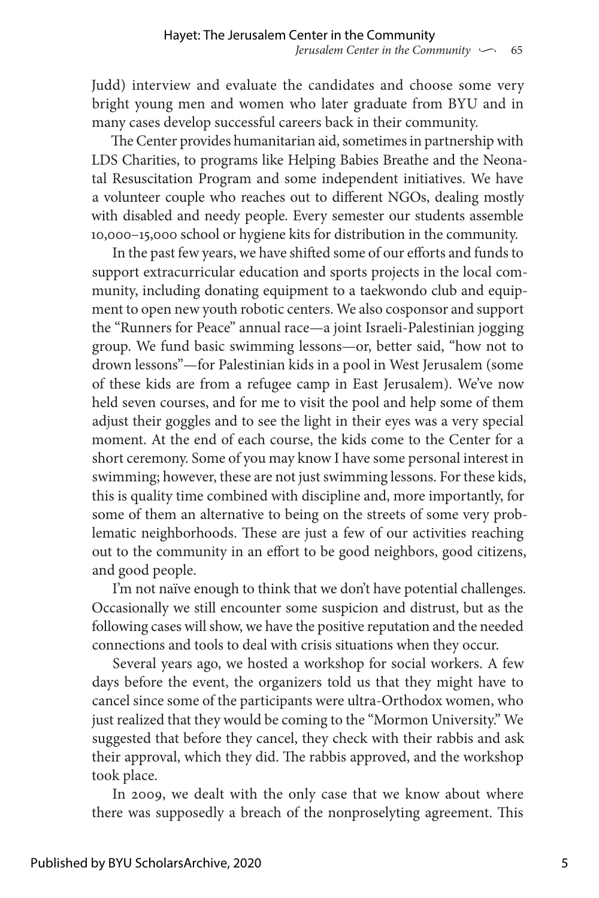Judd) interview and evaluate the candidates and choose some very bright young men and women who later graduate from BYU and in many cases develop successful careers back in their community.

The Center provides humanitarian aid, sometimes in partnership with LDS Charities, to programs like Helping Babies Breathe and the Neonatal Resuscitation Program and some independent initiatives. We have a volunteer couple who reaches out to different NGOs, dealing mostly with disabled and needy people. Every semester our students assemble 10,000–15,000 school or hygiene kits for distribution in the community.

In the past few years, we have shifted some of our efforts and funds to support extracurricular education and sports projects in the local community, including donating equipment to a taekwondo club and equipment to open new youth robotic centers. We also cosponsor and support the "Runners for Peace" annual race—a joint Israeli-Palestinian jogging group. We fund basic swimming lessons—or, better said, "how not to drown lessons"—for Palestinian kids in a pool in West Jerusalem (some of these kids are from a refugee camp in East Jerusalem). We've now held seven courses, and for me to visit the pool and help some of them adjust their goggles and to see the light in their eyes was a very special moment. At the end of each course, the kids come to the Center for a short ceremony. Some of you may know I have some personal interest in swimming; however, these are not just swimming lessons. For these kids, this is quality time combined with discipline and, more importantly, for some of them an alternative to being on the streets of some very problematic neighborhoods. These are just a few of our activities reaching out to the community in an effort to be good neighbors, good citizens, and good people.

I'm not naïve enough to think that we don't have potential challenges. Occasionally we still encounter some suspicion and distrust, but as the following cases will show, we have the positive reputation and the needed connections and tools to deal with crisis situations when they occur.

Several years ago, we hosted a workshop for social workers. A few days before the event, the organizers told us that they might have to cancel since some of the participants were ultra-Orthodox women, who just realized that they would be coming to the "Mormon University." We suggested that before they cancel, they check with their rabbis and ask their approval, which they did. The rabbis approved, and the workshop took place.

In 2009, we dealt with the only case that we know about where there was supposedly a breach of the nonproselyting agreement. This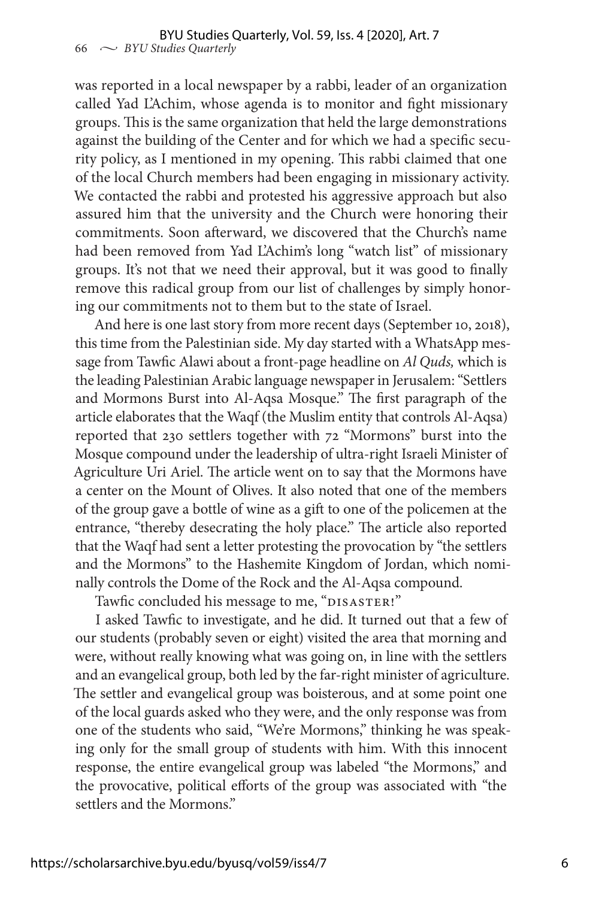was reported in a local newspaper by a rabbi, leader of an organization called Yad L'Achim, whose agenda is to monitor and fight missionary groups. This is the same organization that held the large demonstrations against the building of the Center and for which we had a specific security policy, as I mentioned in my opening. This rabbi claimed that one of the local Church members had been engaging in missionary activity. We contacted the rabbi and protested his aggressive approach but also assured him that the university and the Church were honoring their commitments. Soon afterward, we discovered that the Church's name had been removed from Yad L'Achim's long "watch list" of missionary groups. It's not that we need their approval, but it was good to finally remove this radical group from our list of challenges by simply honoring our commitments not to them but to the state of Israel.

And here is one last story from more recent days (September 10, 2018), this time from the Palestinian side. My day started with a WhatsApp message from Tawfic Alawi about a front-page headline on *Al Quds,* which is the leading Palestinian Arabic language newspaper in Jerusalem: "Settlers and Mormons Burst into Al-Aqsa Mosque." The first paragraph of the article elaborates that the Waqf (the Muslim entity that controls Al-Aqsa) reported that 230 settlers together with 72 "Mormons" burst into the Mosque compound under the leadership of ultra-right Israeli Minister of Agriculture Uri Ariel. The article went on to say that the Mormons have a center on the Mount of Olives. It also noted that one of the members of the group gave a bottle of wine as a gift to one of the policemen at the entrance, "thereby desecrating the holy place." The article also reported that the Waqf had sent a letter protesting the provocation by "the settlers and the Mormons" to the Hashemite Kingdom of Jordan, which nominally controls the Dome of the Rock and the Al-Aqsa compound.

Tawfic concluded his message to me, "DISASTER!"

I asked Tawfic to investigate, and he did. It turned out that a few of our students (probably seven or eight) visited the area that morning and were, without really knowing what was going on, in line with the settlers and an evangelical group, both led by the far-right minister of agriculture. The settler and evangelical group was boisterous, and at some point one of the local guards asked who they were, and the only response was from one of the students who said, "We're Mormons," thinking he was speaking only for the small group of students with him. With this innocent response, the entire evangelical group was labeled "the Mormons," and the provocative, political efforts of the group was associated with "the settlers and the Mormons."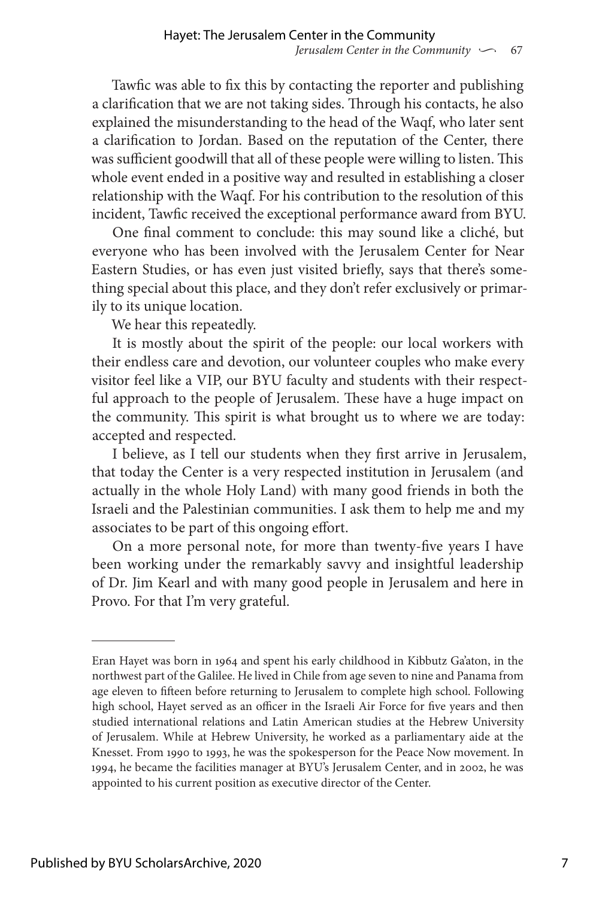Tawfic was able to fix this by contacting the reporter and publishing a clarification that we are not taking sides. Through his contacts, he also explained the misunderstanding to the head of the Waqf, who later sent a clarification to Jordan. Based on the reputation of the Center, there was sufficient goodwill that all of these people were willing to listen. This whole event ended in a positive way and resulted in establishing a closer relationship with the Waqf. For his contribution to the resolution of this incident, Tawfic received the exceptional performance award from BYU.

One final comment to conclude: this may sound like a cliché, but everyone who has been involved with the Jerusalem Center for Near Eastern Studies, or has even just visited briefly, says that there's something special about this place, and they don't refer exclusively or primarily to its unique location.

We hear this repeatedly.

It is mostly about the spirit of the people: our local workers with their endless care and devotion, our volunteer couples who make every visitor feel like a VIP, our BYU faculty and students with their respectful approach to the people of Jerusalem. These have a huge impact on the community. This spirit is what brought us to where we are today: accepted and respected.

I believe, as I tell our students when they first arrive in Jerusalem, that today the Center is a very respected institution in Jerusalem (and actually in the whole Holy Land) with many good friends in both the Israeli and the Palestinian communities. I ask them to help me and my associates to be part of this ongoing effort.

On a more personal note, for more than twenty-five years I have been working under the remarkably savvy and insightful leadership of Dr. Jim Kearl and with many good people in Jerusalem and here in Provo. For that I'm very grateful.

Eran Hayet was born in 1964 and spent his early childhood in Kibbutz Ga'aton, in the northwest part of the Galilee. He lived in Chile from age seven to nine and Panama from age eleven to fifteen before returning to Jerusalem to complete high school. Following high school, Hayet served as an officer in the Israeli Air Force for five years and then studied international relations and Latin American studies at the Hebrew University of Jerusalem. While at Hebrew University, he worked as a parliamentary aide at the Knesset. From 1990 to 1993, he was the spokesperson for the Peace Now movement. In 1994, he became the facilities manager at BYU's Jerusalem Center, and in 2002, he was appointed to his current position as executive director of the Center.